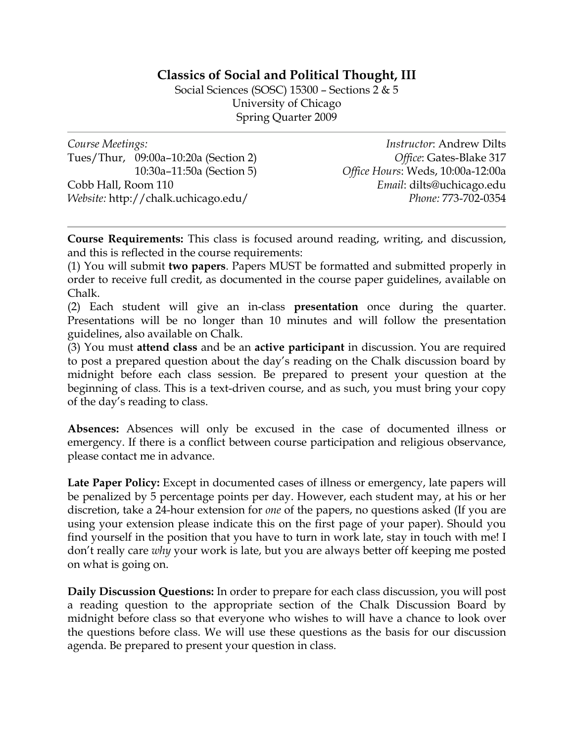## **Classics of Social and Political Thought, III**

Social Sciences (SOSC) 15300 – Sections 2 & 5 University of Chicago Spring Quarter 2009

| Course Meetings:                     | <i>Instructor: Andrew Dilts</i>   |
|--------------------------------------|-----------------------------------|
| Tues/Thur, 09:00a-10:20a (Section 2) | Office: Gates-Blake 317           |
| 10:30a-11:50a (Section 5)            | Office Hours: Weds, 10:00a-12:00a |
| Cobb Hall, Room 110                  | Email: dilts@uchicago.edu         |
| Website: http://chalk.uchicago.edu/  | Phone: 773-702-0354               |
|                                      |                                   |

**Course Requirements:** This class is focused around reading, writing, and discussion, and this is reflected in the course requirements:

(1) You will submit **two papers**. Papers MUST be formatted and submitted properly in order to receive full credit, as documented in the course paper guidelines, available on Chalk.

(2) Each student will give an in-class **presentation** once during the quarter. Presentations will be no longer than 10 minutes and will follow the presentation guidelines, also available on Chalk.

(3) You must **attend class** and be an **active participant** in discussion. You are required to post a prepared question about the day's reading on the Chalk discussion board by midnight before each class session. Be prepared to present your question at the beginning of class. This is a text-driven course, and as such, you must bring your copy of the day's reading to class.

**Absences:** Absences will only be excused in the case of documented illness or emergency. If there is a conflict between course participation and religious observance, please contact me in advance.

**Late Paper Policy:** Except in documented cases of illness or emergency, late papers will be penalized by 5 percentage points per day. However, each student may, at his or her discretion, take a 24-hour extension for *one* of the papers, no questions asked (If you are using your extension please indicate this on the first page of your paper). Should you find yourself in the position that you have to turn in work late, stay in touch with me! I don't really care *why* your work is late, but you are always better off keeping me posted on what is going on.

**Daily Discussion Questions:** In order to prepare for each class discussion, you will post a reading question to the appropriate section of the Chalk Discussion Board by midnight before class so that everyone who wishes to will have a chance to look over the questions before class. We will use these questions as the basis for our discussion agenda. Be prepared to present your question in class.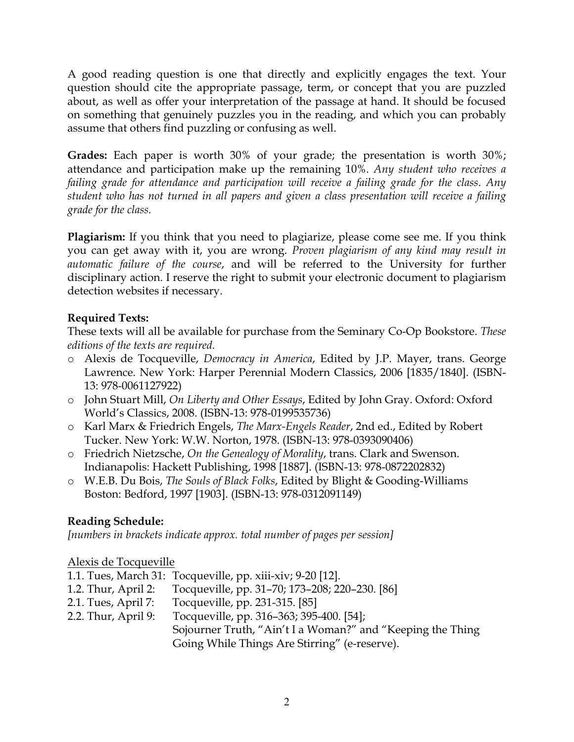A good reading question is one that directly and explicitly engages the text. Your question should cite the appropriate passage, term, or concept that you are puzzled about, as well as offer your interpretation of the passage at hand. It should be focused on something that genuinely puzzles you in the reading, and which you can probably assume that others find puzzling or confusing as well.

**Grades:** Each paper is worth 30% of your grade; the presentation is worth 30%; attendance and participation make up the remaining 10%. *Any student who receives a failing grade for attendance and participation will receive a failing grade for the class*. *Any student who has not turned in all papers and given a class presentation will receive a failing grade for the class.*

**Plagiarism:** If you think that you need to plagiarize, please come see me. If you think you can get away with it, you are wrong. *Proven plagiarism of any kind may result in automatic failure of the course*, and will be referred to the University for further disciplinary action. I reserve the right to submit your electronic document to plagiarism detection websites if necessary.

## **Required Texts:**

These texts will all be available for purchase from the Seminary Co-Op Bookstore. *These editions of the texts are required.*

- o Alexis de Tocqueville, *Democracy in America*, Edited by J.P. Mayer, trans. George Lawrence. New York: Harper Perennial Modern Classics, 2006 [1835/1840]. (ISBN-13: 978-0061127922)
- o John Stuart Mill, *On Liberty and Other Essays*, Edited by John Gray. Oxford: Oxford World's Classics, 2008. (ISBN-13: 978-0199535736)
- o Karl Marx & Friedrich Engels, *The Marx-Engels Reader*, 2nd ed., Edited by Robert Tucker. New York: W.W. Norton, 1978. (ISBN-13: 978-0393090406)
- o Friedrich Nietzsche, *On the Genealogy of Morality*, trans. Clark and Swenson. Indianapolis: Hackett Publishing, 1998 [1887]. (ISBN-13: 978-0872202832)
- o W.E.B. Du Bois, *The Souls of Black Folks*, Edited by Blight & Gooding-Williams Boston: Bedford, 1997 [1903]. (ISBN-13: 978-0312091149)

# **Reading Schedule:**

*[numbers in brackets indicate approx. total number of pages per session]*

#### Alexis de Tocqueville

- 1.1. Tues, March 31: Tocqueville, pp. xiii-xiv; 9-20 [12].
- 1.2. Thur, April 2: Tocqueville, pp. 31–70; 173–208; 220–230. [86]
- 2.1. Tues, April 7: Tocqueville, pp. 231-315. [85]
- 2.2. Thur, April 9: Tocqueville, pp. 316–363; 395-400. [54]; Sojourner Truth, "Ain't I a Woman?" and "Keeping the Thing Going While Things Are Stirring" (e-reserve).